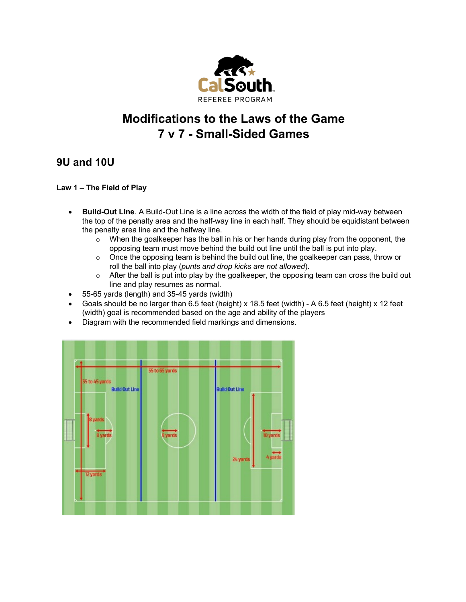

# **Modifications to the Laws of the Game 7 v 7 - Small-Sided Games**

# **9U and 10U**

# **Law 1 – The Field of Play**

- **Build-Out Line**. A Build-Out Line is a line across the width of the field of play mid-way between the top of the penalty area and the half-way line in each half. They should be equidistant between the penalty area line and the halfway line.
	- $\circ$  When the goalkeeper has the ball in his or her hands during play from the opponent, the opposing team must move behind the build out line until the ball is put into play.
	- $\circ$  Once the opposing team is behind the build out line, the goalkeeper can pass, throw or roll the ball into play (*punts and drop kicks are not allowed*).
	- $\circ$  After the ball is put into play by the goalkeeper, the opposing team can cross the build out line and play resumes as normal.
- 55-65 yards (length) and 35-45 yards (width)
- Goals should be no larger than 6.5 feet (height) x 18.5 feet (width) A 6.5 feet (height) x 12 feet (width) goal is recommended based on the age and ability of the players
- Diagram with the recommended field markings and dimensions.

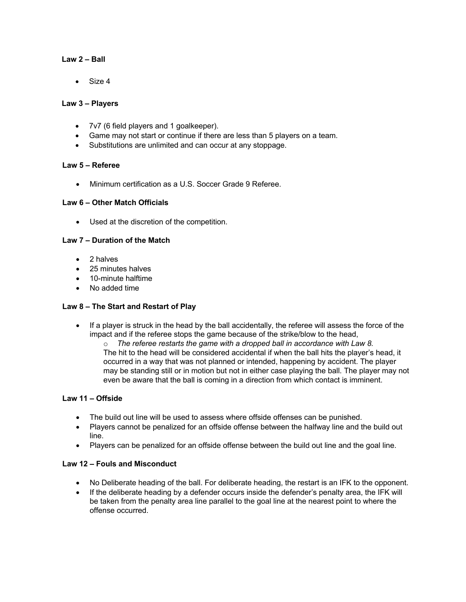# **Law 2 – Ball**

• Size 4

# **Law 3 – Players**

- 7v7 (6 field players and 1 goalkeeper).
- Game may not start or continue if there are less than 5 players on a team.
- Substitutions are unlimited and can occur at any stoppage.

# **Law 5 – Referee**

• Minimum certification as a U.S. Soccer Grade 9 Referee.

# **Law 6 – Other Match Officials**

• Used at the discretion of the competition.

# **Law 7 – Duration of the Match**

- 2 halves
- 25 minutes halves
- 10-minute halftime
- No added time

#### **Law 8 – The Start and Restart of Play**

- If a player is struck in the head by the ball accidentally, the referee will assess the force of the impact and if the referee stops the game because of the strike/blow to the head,
	- o *The referee restarts the game with a dropped ball in accordance with Law 8.* The hit to the head will be considered accidental if when the ball hits the player's head, it occurred in a way that was not planned or intended, happening by accident. The player may be standing still or in motion but not in either case playing the ball. The player may not even be aware that the ball is coming in a direction from which contact is imminent.

# **Law 11 – Offside**

- The build out line will be used to assess where offside offenses can be punished.
- Players cannot be penalized for an offside offense between the halfway line and the build out line.
- Players can be penalized for an offside offense between the build out line and the goal line.

# **Law 12 – Fouls and Misconduct**

- No Deliberate heading of the ball. For deliberate heading, the restart is an IFK to the opponent.
- If the deliberate heading by a defender occurs inside the defender's penalty area, the IFK will be taken from the penalty area line parallel to the goal line at the nearest point to where the offense occurred.